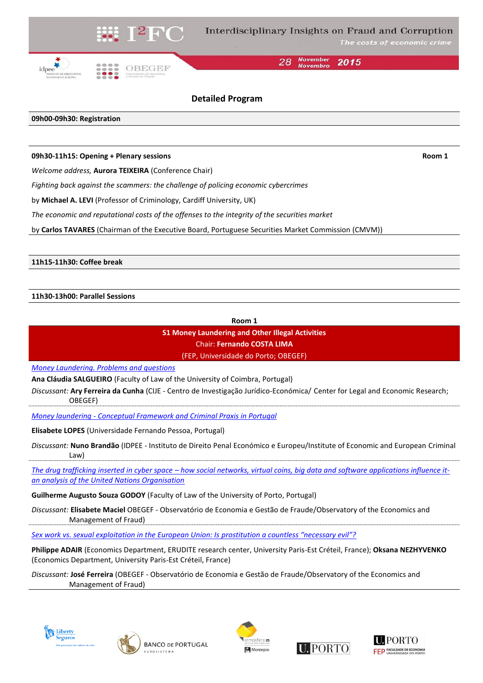

**November** 28 2015

## **Detailed Program**

### **09h00-09h30: Registration**

#### **09h30-11h15: Opening + Plenary sessions Room 1**

*Welcome address,* **Aurora TEIXEIRA** (Conference Chair)

*Fighting back against the scammers: the challenge of policing economic cybercrimes*

by **Michael A. LEVI** (Professor of Criminology, Cardiff University, UK)

*The economic and reputational costs of the offenses to the integrity of the securities market*

by **Carlos TAVARES** (Chairman of the Executive Board, Portuguese Securities Market Commission (CMVM))

**11h15-11h30: Coffee break**

### **11h30-13h00: Parallel Sessions**

**Room 1**

**S1 Money Laundering and Other Illegal Activities** Chair: **Fernando COSTA LIMA**

(FEP, Universidade do Porto; OBEGEF)

*[Money Laundering. Problems and questions](I2FC2015_Salgueiro.pdf)*

**Ana Cláudia SALGUEIRO** (Faculty of Law of the University of Coimbra, Portugal)

*Discussant:* **Ary Ferreira da Cunha** (CIJE - Centro de Investigação Jurídico-Económica/ Center for Legal and Economic Research; OBEGEF)

*Money laundering - [Conceptual Framework and Criminal Praxis in Portugal](I2FC2015_Lopes_in%20PT.pdf)*

**Elisabete LOPES** (Universidade Fernando Pessoa, Portugal)

*Discussant:* **Nuno Brandão** (IDPEE - Instituto de Direito Penal Económico e Europeu/Institute of Economic and European Criminal Law)

*The drug trafficking inserted in cyber space – [how social networks, virtual coins, big data and software applications influence it](I2FC2015_Godoy.pdf)[an analysis of the United Nations Organisation](I2FC2015_Godoy.pdf)*

**Guilherme Augusto Souza GODOY** (Faculty of Law of the University of Porto, Portugal)

*Discussant:* **Elisabete Maciel** OBEGEF - Observatório de Economia e Gestão de Fraude/Observatory of the Economics and Management of Fraud)

*[Sex work vs. sexual exploitation in the European Union: Is](I2FC2015_Adair%20and%20Nezhyvenko.pdf) prostitution a countless "necessary evil"?*

**Philippe ADAIR** (Economics Department, ERUDITE research center, University Paris-Est Créteil, France); **Oksana NEZHYVENKO**  (Economics Department, University Paris-Est Créteil, France)

*Discussant:* **José Ferreira** (OBEGEF - Observatório de Economia e Gestão de Fraude/Observatory of the Economics and Management of Fraud)









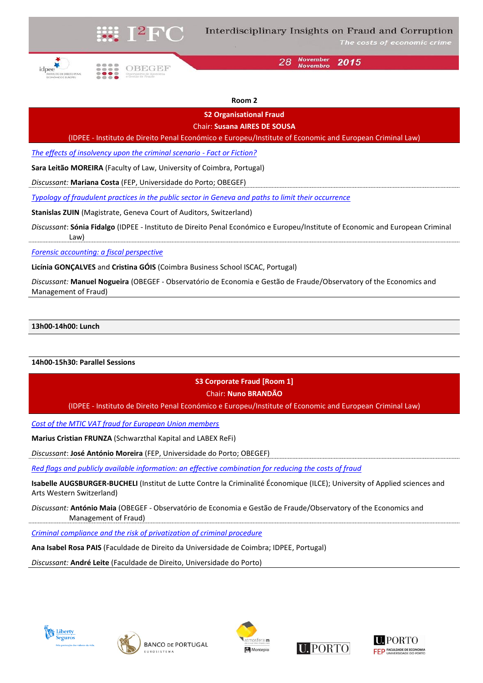

The costs of economic crime





**November** 28 2015

### **Room 2**

**S2 Organisational Fraud**

Chair: **Susana AIRES DE SOUSA**

(IDPEE - Instituto de Direito Penal Económico e Europeu/Institute of Economic and European Criminal Law)

*[The effects of insolvency upon the criminal scenario -](I2FC2015_Moreira.pdf) Fact or Fiction?*

**Sara Leitão MOREIRA** (Faculty of Law, University of Coimbra, Portugal)

*Discussant:* **Mariana Costa** (FEP, Universidade do Porto; OBEGEF)

*[Typology of fraudulent practices in the public sector in Geneva and paths to limit their occurrence](I2FC2015_Zuin.pdf)*

**Stanislas ZUIN** (Magistrate, Geneva Court of Auditors, Switzerland)

*Discussant*: **Sónia Fidalgo** (IDPEE - Instituto de Direito Penal Económico e Europeu/Institute of Economic and European Criminal Law)

*[Forensic accounting: a fiscal perspective](I2FC2015_Gonçalves%20and%20Gois.pdf)*

**Licínia GONÇALVES** and **Cristina GÓIS** (Coimbra Business School ISCAC, Portugal)

*Discussant:* **Manuel Nogueira** (OBEGEF - Observatório de Economia e Gestão de Fraude/Observatory of the Economics and Management of Fraud)

### **13h00-14h00: Lunch**

### **14h00-15h30: Parallel Sessions**

# **S3 Corporate Fraud [Room 1]** Chair: **Nuno BRANDÃO**

(IDPEE - Instituto de Direito Penal Económico e Europeu/Institute of Economic and European Criminal Law)

*[Cost of the MTIC VAT fraud for European Union members](I2FC2015_Frunza.pdf)*

**Marius Cristian FRUNZA** (Schwarzthal Kapital and LABEX ReFi)

*Discussant*: **José António Moreira** (FEP, Universidade do Porto; OBEGEF)

*[Red flags and publicly available information: an effective combination for reducing the costs of fraud](I2FC2015_Augsburger_Bucheli.pdf)*

**Isabelle AUGSBURGER-BUCHELI** (Institut de Lutte Contre la Criminalité Économique (ILCE); University of Applied sciences and Arts Western Switzerland)

*Discussant:* **António Maia** (OBEGEF - Observatório de Economia e Gestão de Fraude/Observatory of the Economics and Management of Fraud)

*[Criminal compliance and the risk of privatization of criminal procedure](I2FC2015_Pais_in%20PT.pdf)*

**Ana Isabel Rosa PAIS** (Faculdade de Direito da Universidade de Coimbra; IDPEE, Portugal)

*Discussant:* **André Leite** (Faculdade de Direito, Universidade do Porto)









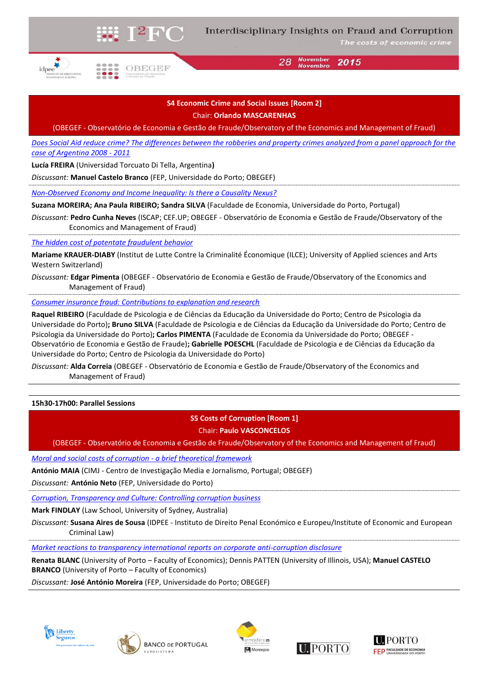

The costs of economic crime

**November** 28 2015 **Novembro** 

OBEGEF

## **S4 Economic Crime and Social Issues [Room 2]** Chair: **Orlando MASCARENHAS**

(OBEGEF - Observatório de Economia e Gestão de Fraude/Observatory of the Economics and Management of Fraud)

*Does Social [Aid reduce crime? The differences between the robberies and property crimes analyzed from a panel approach for the](I2FC2015_Freira.pdf)  [case of Argentina 2008 -](I2FC2015_Freira.pdf) 2011*

**Lucía FREIRA** (Universidad Torcuato Di Tella, Argentina**)**

*Discussant:* **Manuel Castelo Branco** (FEP, Universidade do Porto; OBEGEF)

*[Non-Observed Economy and Income Inequality: Is there a Causality Nexus?](I2FC2015_Moreira%20et%20al.pdf)*

**Suzana MOREIRA; Ana Paula RIBEIRO; Sandra SILVA** (Faculdade de Economia, Universidade do Porto, Portugal)

*Discussant:* **Pedro Cunha Neves** (ISCAP; CEF.UP; OBEGEF - Observatório de Economia e Gestão de Fraude/Observatory of the Economics and Management of Fraud)

*[The hidden cost of potentate fraudulent behavior](I2FC2015_Krauer_Diaby.pdf)*

**Mariame KRAUER-DIABY** (Institut de Lutte Contre la Criminalité Économique (ILCE); University of Applied sciences and Arts Western Switzerland)

*Discussant:* **Edgar Pimenta** (OBEGEF - Observatório de Economia e Gestão de Fraude/Observatory of the Economics and Management of Fraud)

*[Consumer insurance fraud: Contributions to explanation and research](I2FC2015_Ribeiro%20et%20al.pdf)*

**Raquel RIBEIRO** (Faculdade de Psicologia e de Ciências da Educação da Universidade do Porto; Centro de Psicologia da Universidade do Porto)**; Bruno SILVA** (Faculdade de Psicologia e de Ciências da Educação da Universidade do Porto; Centro de Psicologia da Universidade do Porto)**; Carlos PIMENTA** (Faculdade de Economia da Universidade do Porto; OBEGEF - Observatório de Economia e Gestão de Fraude)**; Gabrielle POESCHL** (Faculdade de Psicologia e de Ciências da Educação da Universidade do Porto; Centro de Psicologia da Universidade do Porto)

*Discussant:* **Alda Correia** (OBEGEF - Observatório de Economia e Gestão de Fraude/Observatory of the Economics and Management of Fraud)

**15h30-17h00: Parallel Sessions**

**S5 Costs of Corruption [Room 1]**

Chair: **Paulo VASCONCELOS**

(OBEGEF - Observatório de Economia e Gestão de Fraude/Observatory of the Economics and Management of Fraud)

*[Moral and social costs of corruption -](I2FC2015_Maia.pdf) a brief theoretical framework*

**António MAIA** (CIMJ - Centro de Investigação Media e Jornalismo, Portugal; OBEGEF)

*Discussant:* **António Neto** (FEP, Universidade do Porto)

*[Corruption, Transparency and Culture: Controlling corruption business](I2FC2015_Findlay.pdf)*

**Mark FINDLAY** (Law School, University of Sydney, Australia)

*Discussant:* **Susana Aires de Sousa** (IDPEE - Instituto de Direito Penal Económico e Europeu/Institute of Economic and European Criminal Law)

*[Market reactions to transparency international reports](I2FC2015_Blanc%20et%20al.pdf) on corporate anti-corruption disclosure*

**Renata BLANC** (University of Porto – Faculty of Economics); Dennis PATTEN (University of Illinois, USA); **Manuel CASTELO BRANCO** (University of Porto – Faculty of Economics)

*Discussant:* **José António Moreira** (FEP, Universidade do Porto; OBEGEF)